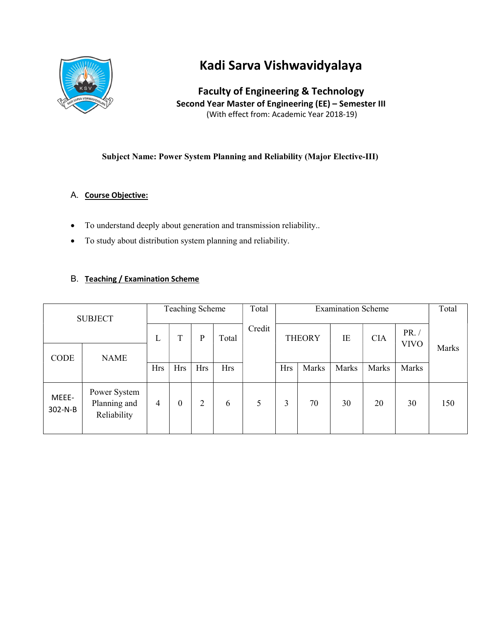

# Kadi Sarva Vishwavidyalaya

Faculty of Engineering & Technology Second Year Master of Engineering (EE) – Semester III (With effect from: Academic Year 2018-19)

## Subject Name: Power System Planning and Reliability (Major Elective-III)

## A. Course Objective:

- To understand deeply about generation and transmission reliability..
- To study about distribution system planning and reliability.

## B. Teaching / Examination Scheme

| <b>SUBJECT</b>   |                                             | <b>Teaching Scheme</b> |                  |            |            | <b>Examination Scheme</b><br>Total |            |               |       |            | Total                |       |  |
|------------------|---------------------------------------------|------------------------|------------------|------------|------------|------------------------------------|------------|---------------|-------|------------|----------------------|-------|--|
|                  |                                             | L                      | T                | P          | Total      | Credit                             |            | <b>THEORY</b> | IE    | <b>CIA</b> | PR. /<br><b>VIVO</b> |       |  |
| CODE             | <b>NAME</b>                                 | <b>Hrs</b>             | <b>Hrs</b>       | <b>Hrs</b> | <b>Hrs</b> |                                    | <b>Hrs</b> | Marks         | Marks | Marks      | Marks                | Marks |  |
| MEEE-<br>302-N-B | Power System<br>Planning and<br>Reliability | 4                      | $\boldsymbol{0}$ | 2          | 6          | 5                                  | 3          | 70            | 30    | 20         | 30                   | 150   |  |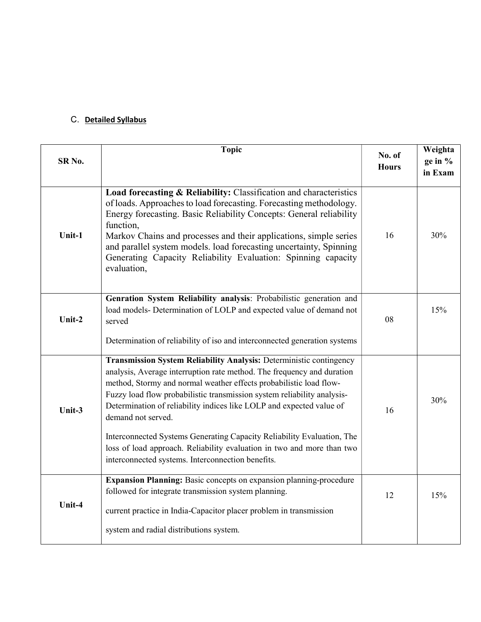# C. Detailed Syllabus

| SR <sub>No.</sub> | <b>Topic</b>                                                                                                                                                                                                                                                                                                                                                                                                                                                                                                                                                                                          | No. of<br><b>Hours</b> | Weighta<br>ge in $\%$<br>in Exam |
|-------------------|-------------------------------------------------------------------------------------------------------------------------------------------------------------------------------------------------------------------------------------------------------------------------------------------------------------------------------------------------------------------------------------------------------------------------------------------------------------------------------------------------------------------------------------------------------------------------------------------------------|------------------------|----------------------------------|
| Unit-1            | Load forecasting & Reliability: Classification and characteristics<br>of loads. Approaches to load forecasting. Forecasting methodology.<br>Energy forecasting. Basic Reliability Concepts: General reliability<br>function,<br>Markov Chains and processes and their applications, simple series<br>and parallel system models. load forecasting uncertainty, Spinning<br>Generating Capacity Reliability Evaluation: Spinning capacity<br>evaluation,                                                                                                                                               | 16                     | 30%                              |
| Unit-2            | Genration System Reliability analysis: Probabilistic generation and<br>load models- Determination of LOLP and expected value of demand not<br>served<br>Determination of reliability of iso and interconnected generation systems                                                                                                                                                                                                                                                                                                                                                                     | 08                     | 15%                              |
| Unit-3            | Transmission System Reliability Analysis: Deterministic contingency<br>analysis, Average interruption rate method. The frequency and duration<br>method, Stormy and normal weather effects probabilistic load flow-<br>Fuzzy load flow probabilistic transmission system reliability analysis-<br>Determination of reliability indices like LOLP and expected value of<br>demand not served.<br>Interconnected Systems Generating Capacity Reliability Evaluation, The<br>loss of load approach. Reliability evaluation in two and more than two<br>interconnected systems. Interconnection benefits. | 16                     | 30%                              |
| Unit-4            | Expansion Planning: Basic concepts on expansion planning-procedure<br>followed for integrate transmission system planning.<br>current practice in India-Capacitor placer problem in transmission<br>system and radial distributions system.                                                                                                                                                                                                                                                                                                                                                           | 12                     | 15%                              |